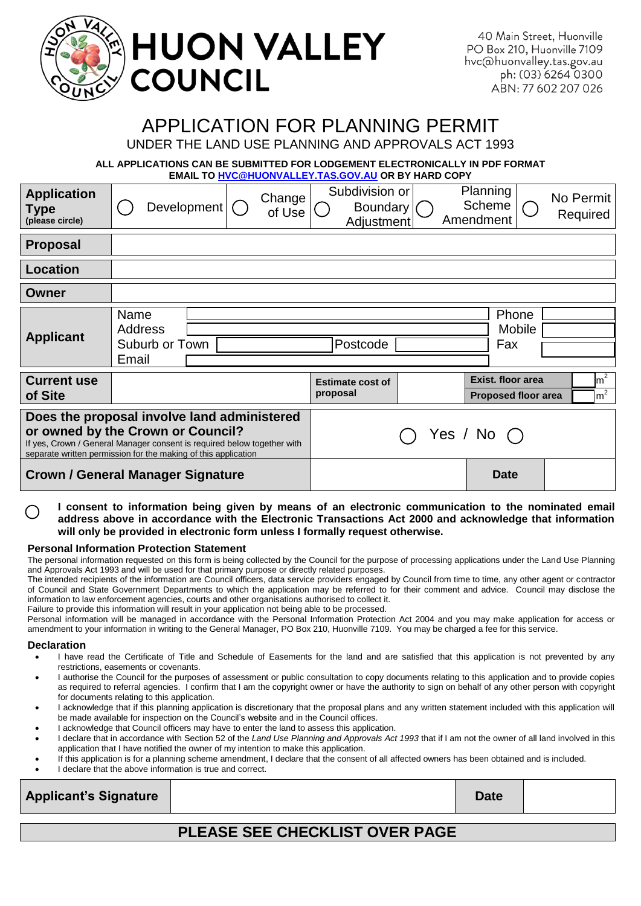| <b>EN YAYA HUON VALLEY</b> |  |
|----------------------------|--|
|----------------------------|--|

40 Main Street, Huonville PO Box 210, Huonville 7109 hvc@huonvalley.tas.gov.au ph: (03) 6264 0300 ABN: 77 602 207 026

# APPLICATION FOR PLANNING PERMIT

UNDER THE LAND USE PLANNING AND APPROVALS ACT 1993

**ALL APPLICATIONS CAN BE SUBMITTED FOR LODGEMENT ELECTRONICALLY IN PDF FORMAT EMAIL TO [HVC@HUONVALLEY.TAS.GOV.AU](mailto:HVC@HUONVALLEY.TAS.GOV.AU) OR BY HARD COPY**

| <b>Application</b><br>Type<br>(please circle)                                                                                                                                                                                 | Development                                | Change<br>of Use   | Subdivision or<br><b>Boundary</b><br>Adjustment                                        |  | Planning<br>Amendment     | Scheme                 | No Permit<br>Required |
|-------------------------------------------------------------------------------------------------------------------------------------------------------------------------------------------------------------------------------|--------------------------------------------|--------------------|----------------------------------------------------------------------------------------|--|---------------------------|------------------------|-----------------------|
| <b>Proposal</b>                                                                                                                                                                                                               |                                            |                    |                                                                                        |  |                           |                        |                       |
| Location                                                                                                                                                                                                                      |                                            |                    |                                                                                        |  |                           |                        |                       |
| Owner                                                                                                                                                                                                                         |                                            |                    |                                                                                        |  |                           |                        |                       |
| <b>Applicant</b>                                                                                                                                                                                                              | Name<br>Address<br>Suburb or Town<br>Email |                    | Postcode                                                                               |  |                           | Phone<br>Mobile<br>Fax |                       |
| <b>Current use</b><br>of Site                                                                                                                                                                                                 |                                            |                    | Exist, floor area<br><b>Estimate cost of</b><br>proposal<br><b>Proposed floor area</b> |  | $\rm{Im}^2$<br>$\rm{m}^2$ |                        |                       |
| Does the proposal involve land administered<br>or owned by the Crown or Council?<br>If yes, Crown / General Manager consent is required below together with<br>separate written permission for the making of this application |                                            | Yes / No $\bigcap$ |                                                                                        |  |                           |                        |                       |
| <b>Crown / General Manager Signature</b>                                                                                                                                                                                      |                                            |                    |                                                                                        |  | <b>Date</b>               |                        |                       |

**I consent to information being given by means of an electronic communication to the nominated email address above in accordance with the Electronic Transactions Act 2000 and acknowledge that information will only be provided in electronic form unless I formally request otherwise.**

#### **Personal Information Protection Statement**

The personal information requested on this form is being collected by the Council for the purpose of processing applications under the Land Use Planning and Approvals Act 1993 and will be used for that primary purpose or directly related purposes.

The intended recipients of the information are Council officers, data service providers engaged by Council from time to time, any other agent or contractor of Council and State Government Departments to which the application may be referred to for their comment and advice. Council may disclose the information to law enforcement agencies, courts and other organisations authorised to collect it.

Failure to provide this information will result in your application not being able to be processed.

Personal information will be managed in accordance with the Personal Information Protection Act 2004 and you may make application for access or amendment to your information in writing to the General Manager, PO Box 210, Huonville 7109. You may be charged a fee for this service.

#### **Declaration**

- I have read the Certificate of Title and Schedule of Easements for the land and are satisfied that this application is not prevented by any restrictions, easements or covenants.
- I authorise the Council for the purposes of assessment or public consultation to copy documents relating to this application and to provide copies as required to referral agencies. I confirm that I am the copyright owner or have the authority to sign on behalf of any other person with copyright for documents relating to this application.
- I acknowledge that if this planning application is discretionary that the proposal plans and any written statement included with this application will be made available for inspection on the Council's website and in the Council offices.
- I acknowledge that Council officers may have to enter the land to assess this application.
- I declare that in accordance with Section 52 of the *Land Use Planning and Approvals Act 1993* that if I am not the owner of all land involved in this application that I have notified the owner of my intention to make this application.
- If this application is for a planning scheme amendment, I declare that the consent of all affected owners has been obtained and is included.
- I declare that the above information is true and correct.

| <b>Applicant's Signature</b> | <b>Date</b> |  |
|------------------------------|-------------|--|
|                              |             |  |

## **PLEASE SEE CHECKLIST OVER PAGE**